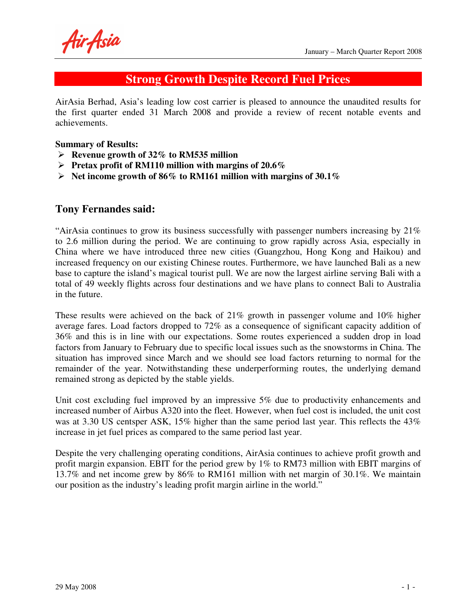Air Asia

### **Strong Growth Despite Record Fuel Prices**

AirAsia Berhad, Asia's leading low cost carrier is pleased to announce the unaudited results for the first quarter ended 31 March 2008 and provide a review of recent notable events and achievements.

#### **Summary of Results:**

- **Revenue growth of 32% to RM535 million**
- **Pretax profit of RM110 million with margins of 20.6%**
- **Net income growth of 86% to RM161 million with margins of 30.1%**

#### **Tony Fernandes said:**

"AirAsia continues to grow its business successfully with passenger numbers increasing by  $21\%$ to 2.6 million during the period. We are continuing to grow rapidly across Asia, especially in China where we have introduced three new cities (Guangzhou, Hong Kong and Haikou) and increased frequency on our existing Chinese routes. Furthermore, we have launched Bali as a new base to capture the island's magical tourist pull. We are now the largest airline serving Bali with a total of 49 weekly flights across four destinations and we have plans to connect Bali to Australia in the future.

These results were achieved on the back of 21% growth in passenger volume and 10% higher average fares. Load factors dropped to 72% as a consequence of significant capacity addition of 36% and this is in line with our expectations. Some routes experienced a sudden drop in load factors from January to February due to specific local issues such as the snowstorms in China. The situation has improved since March and we should see load factors returning to normal for the remainder of the year. Notwithstanding these underperforming routes, the underlying demand remained strong as depicted by the stable yields.

Unit cost excluding fuel improved by an impressive 5% due to productivity enhancements and increased number of Airbus A320 into the fleet. However, when fuel cost is included, the unit cost was at 3.30 US centsper ASK, 15% higher than the same period last year. This reflects the 43% increase in jet fuel prices as compared to the same period last year.

Despite the very challenging operating conditions, AirAsia continues to achieve profit growth and profit margin expansion. EBIT for the period grew by 1% to RM73 million with EBIT margins of 13.7% and net income grew by 86% to RM161 million with net margin of 30.1%. We maintain our position as the industry's leading profit margin airline in the world."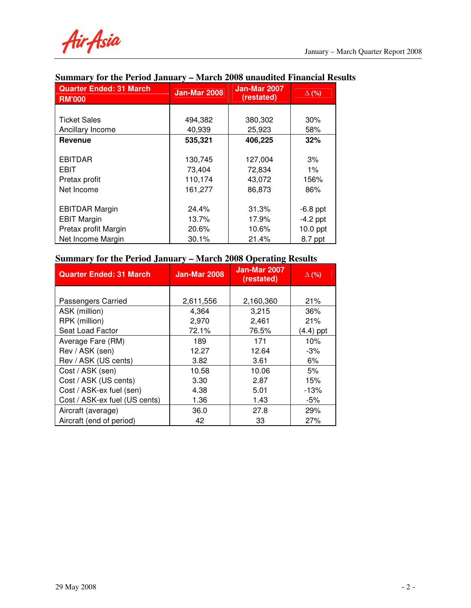Air Asia

| <b>Quarter Ended: 31 March</b><br><b>RM'000</b> | <b>Jan-Mar 2008</b> | <b>Jan-Mar 2007</b><br>(restated) | $\Delta$ (%) |
|-------------------------------------------------|---------------------|-----------------------------------|--------------|
|                                                 |                     |                                   |              |
| <b>Ticket Sales</b>                             | 494,382             | 380,302                           | 30%          |
| Ancillary Income                                | 40,939              | 25,923                            | 58%          |
| <b>Revenue</b>                                  | 535,321             | 406,225                           | 32%          |
|                                                 |                     |                                   |              |
| <b>EBITDAR</b>                                  | 130,745             | 127,004                           | 3%           |
| <b>EBIT</b>                                     | 73,404              | 72,834                            | $1\%$        |
| Pretax profit                                   | 110,174             | 43,072                            | 156%         |
| Net Income                                      | 161,277             | 86,873                            | 86%          |
|                                                 |                     |                                   |              |
| <b>EBITDAR Margin</b>                           | 24.4%               | 31.3%                             | $-6.8$ ppt   |
| <b>EBIT Margin</b>                              | 13.7%               | 17.9%                             | $-4.2$ ppt   |
| Pretax profit Margin                            | 20.6%               | 10.6%                             | $10.0$ ppt   |
| Net Income Margin                               | 30.1%               | 21.4%                             | 8.7 ppt      |

### **Summary for the Period January – March 2008 unaudited Financial Results**

# **Summary for the Period January – March 2008 Operating Results**

| <b>Quarter Ended: 31 March</b> | <b>Jan-Mar 2008</b> | <b>Jan-Mar 2007</b><br>(restated) | $\Delta$ (%) |
|--------------------------------|---------------------|-----------------------------------|--------------|
|                                |                     |                                   |              |
| Passengers Carried             | 2,611,556           | 2,160,360                         | 21%          |
| ASK (million)                  | 4,364               | 3,215                             | 36%          |
| RPK (million)                  | 2,970               | 2,461                             | 21%          |
| Seat Load Factor               | 72.1%               | 76.5%                             | $(4.4)$ ppt  |
| Average Fare (RM)              | 189                 | 171                               | 10%          |
| Rev / ASK (sen)                | 12.27               | 12.64                             | $-3%$        |
| Rev / ASK (US cents)           | 3.82                | 3.61                              | 6%           |
| Cost / ASK (sen)               | 10.58               | 10.06                             | 5%           |
| Cost / ASK (US cents)          | 3.30                | 2.87                              | 15%          |
| Cost / ASK-ex fuel (sen)       | 4.38                | 5.01                              | $-13%$       |
| Cost / ASK-ex fuel (US cents)  | 1.36                | 1.43                              | -5%          |
| Aircraft (average)             | 36.0                | 27.8                              | 29%          |
| Aircraft (end of period)       | 42                  | 33                                | 27%          |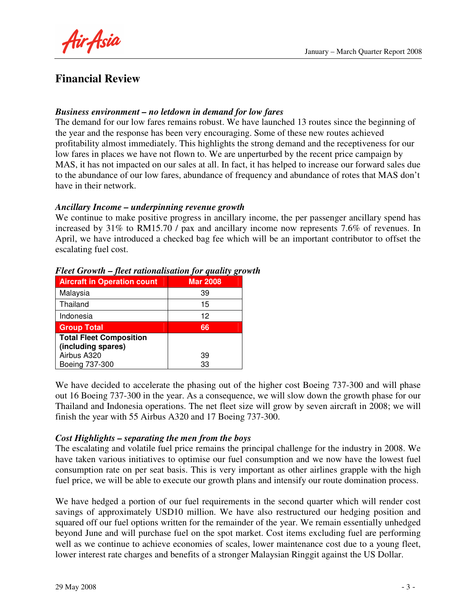Air Asia

### **Financial Review**

#### *Business environment – no letdown in demand for low fares*

The demand for our low fares remains robust. We have launched 13 routes since the beginning of the year and the response has been very encouraging. Some of these new routes achieved profitability almost immediately. This highlights the strong demand and the receptiveness for our low fares in places we have not flown to. We are unperturbed by the recent price campaign by MAS, it has not impacted on our sales at all. In fact, it has helped to increase our forward sales due to the abundance of our low fares, abundance of frequency and abundance of rotes that MAS don't have in their network.

#### *Ancillary Income – underpinning revenue growth*

We continue to make positive progress in ancillary income, the per passenger ancillary spend has increased by 31% to RM15.70 / pax and ancillary income now represents 7.6% of revenues. In April, we have introduced a checked bag fee which will be an important contributor to offset the escalating fuel cost.

| <b>Aircraft in Operation count</b> | <b>Mar 2008</b> |
|------------------------------------|-----------------|
| Malaysia                           | 39              |
| Thailand                           | 15              |
| Indonesia                          | 12              |
| <b>Group Total</b>                 | 66              |
| <b>Total Fleet Composition</b>     |                 |
| (including spares)                 |                 |
| Airbus A320                        | 39              |
| Boeing 737-300                     | 33              |

#### *Fleet Growth – fleet rationalisation for quality growth*

We have decided to accelerate the phasing out of the higher cost Boeing 737-300 and will phase out 16 Boeing 737-300 in the year. As a consequence, we will slow down the growth phase for our Thailand and Indonesia operations. The net fleet size will grow by seven aircraft in 2008; we will finish the year with 55 Airbus A320 and 17 Boeing 737-300.

#### *Cost Highlights – separating the men from the boys*

The escalating and volatile fuel price remains the principal challenge for the industry in 2008. We have taken various initiatives to optimise our fuel consumption and we now have the lowest fuel consumption rate on per seat basis. This is very important as other airlines grapple with the high fuel price, we will be able to execute our growth plans and intensify our route domination process.

We have hedged a portion of our fuel requirements in the second quarter which will render cost savings of approximately USD10 million. We have also restructured our hedging position and squared off our fuel options written for the remainder of the year. We remain essentially unhedged beyond June and will purchase fuel on the spot market. Cost items excluding fuel are performing well as we continue to achieve economies of scales, lower maintenance cost due to a young fleet, lower interest rate charges and benefits of a stronger Malaysian Ringgit against the US Dollar.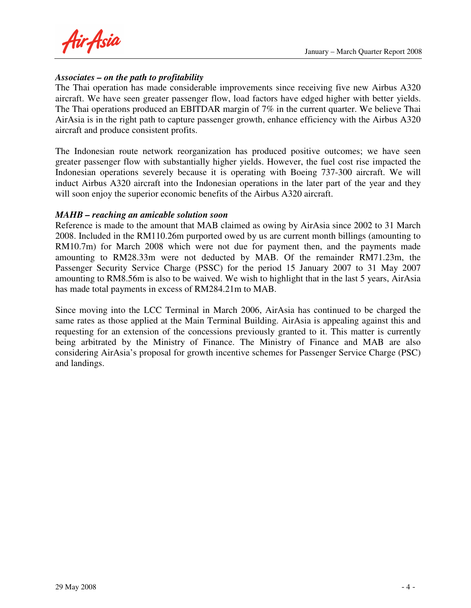Air Asia

#### *Associates – on the path to profitability*

The Thai operation has made considerable improvements since receiving five new Airbus A320 aircraft. We have seen greater passenger flow, load factors have edged higher with better yields. The Thai operations produced an EBITDAR margin of 7% in the current quarter. We believe Thai AirAsia is in the right path to capture passenger growth, enhance efficiency with the Airbus A320 aircraft and produce consistent profits.

The Indonesian route network reorganization has produced positive outcomes; we have seen greater passenger flow with substantially higher yields. However, the fuel cost rise impacted the Indonesian operations severely because it is operating with Boeing 737-300 aircraft. We will induct Airbus A320 aircraft into the Indonesian operations in the later part of the year and they will soon enjoy the superior economic benefits of the Airbus A320 aircraft.

#### *MAHB – reaching an amicable solution soon*

Reference is made to the amount that MAB claimed as owing by AirAsia since 2002 to 31 March 2008. Included in the RM110.26m purported owed by us are current month billings (amounting to RM10.7m) for March 2008 which were not due for payment then, and the payments made amounting to RM28.33m were not deducted by MAB. Of the remainder RM71.23m, the Passenger Security Service Charge (PSSC) for the period 15 January 2007 to 31 May 2007 amounting to RM8.56m is also to be waived. We wish to highlight that in the last 5 years, AirAsia has made total payments in excess of RM284.21m to MAB.

Since moving into the LCC Terminal in March 2006, AirAsia has continued to be charged the same rates as those applied at the Main Terminal Building. AirAsia is appealing against this and requesting for an extension of the concessions previously granted to it. This matter is currently being arbitrated by the Ministry of Finance. The Ministry of Finance and MAB are also considering AirAsia's proposal for growth incentive schemes for Passenger Service Charge (PSC) and landings.